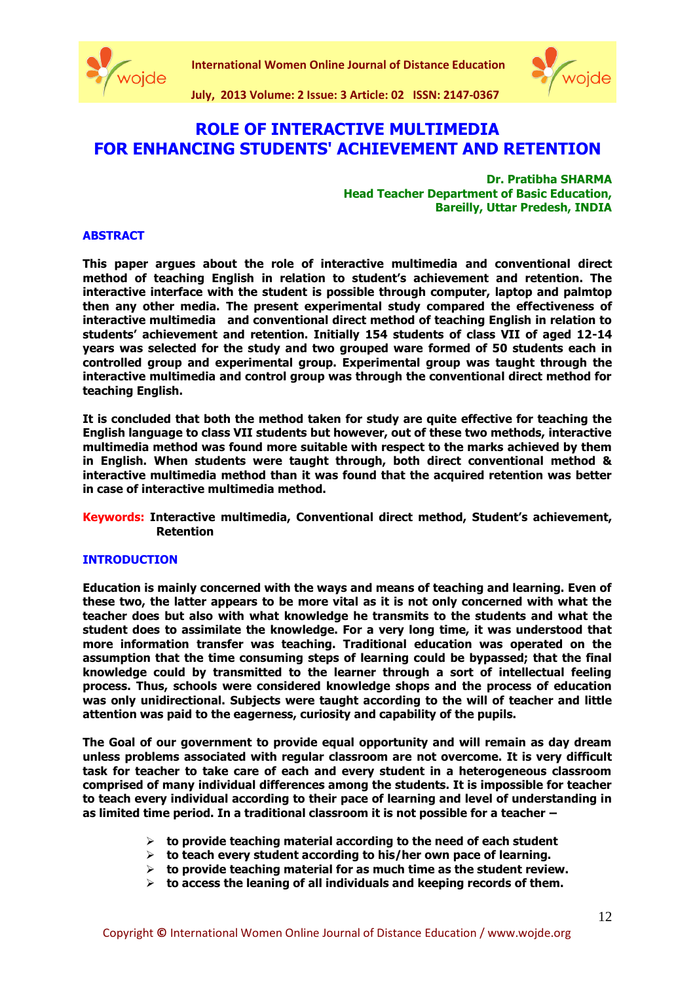



**July, 2013 Volume: 2 Issue: 3 Article: 02 ISSN: 2147-0367**

# **ROLE OF INTERACTIVE MULTIMEDIA FOR ENHANCING STUDENTS' ACHIEVEMENT AND RETENTION**

**Dr. Pratibha SHARMA Head Teacher Department of Basic Education, Bareilly, Uttar Predesh, INDIA**

## **ABSTRACT**

**This paper argues about the role of interactive multimedia and conventional direct method of teaching English in relation to student's achievement and retention. The interactive interface with the student is possible through computer, laptop and palmtop then any other media. The present experimental study compared the effectiveness of interactive multimedia and conventional direct method of teaching English in relation to students' achievement and retention. Initially 154 students of class VII of aged 12-14 years was selected for the study and two grouped ware formed of 50 students each in controlled group and experimental group. Experimental group was taught through the interactive multimedia and control group was through the conventional direct method for teaching English.**

**It is concluded that both the method taken for study are quite effective for teaching the English language to class VII students but however, out of these two methods, interactive multimedia method was found more suitable with respect to the marks achieved by them in English. When students were taught through, both direct conventional method & interactive multimedia method than it was found that the acquired retention was better in case of interactive multimedia method.**

**Keywords: Interactive multimedia, Conventional direct method, Student's achievement, Retention**

## **INTRODUCTION**

**Education is mainly concerned with the ways and means of teaching and learning. Even of these two, the latter appears to be more vital as it is not only concerned with what the teacher does but also with what knowledge he transmits to the students and what the student does to assimilate the knowledge. For a very long time, it was understood that more information transfer was teaching. Traditional education was operated on the assumption that the time consuming steps of learning could be bypassed; that the final knowledge could by transmitted to the learner through a sort of intellectual feeling process. Thus, schools were considered knowledge shops and the process of education was only unidirectional. Subjects were taught according to the will of teacher and little attention was paid to the eagerness, curiosity and capability of the pupils.**

**The Goal of our government to provide equal opportunity and will remain as day dream unless problems associated with regular classroom are not overcome. It is very difficult task for teacher to take care of each and every student in a heterogeneous classroom comprised of many individual differences among the students. It is impossible for teacher to teach every individual according to their pace of learning and level of understanding in as limited time period. In a traditional classroom it is not possible for a teacher –**

- **to provide teaching material according to the need of each student**
- **to teach every student according to his/her own pace of learning.**
- **to provide teaching material for as much time as the student review.**
- **to access the leaning of all individuals and keeping records of them.**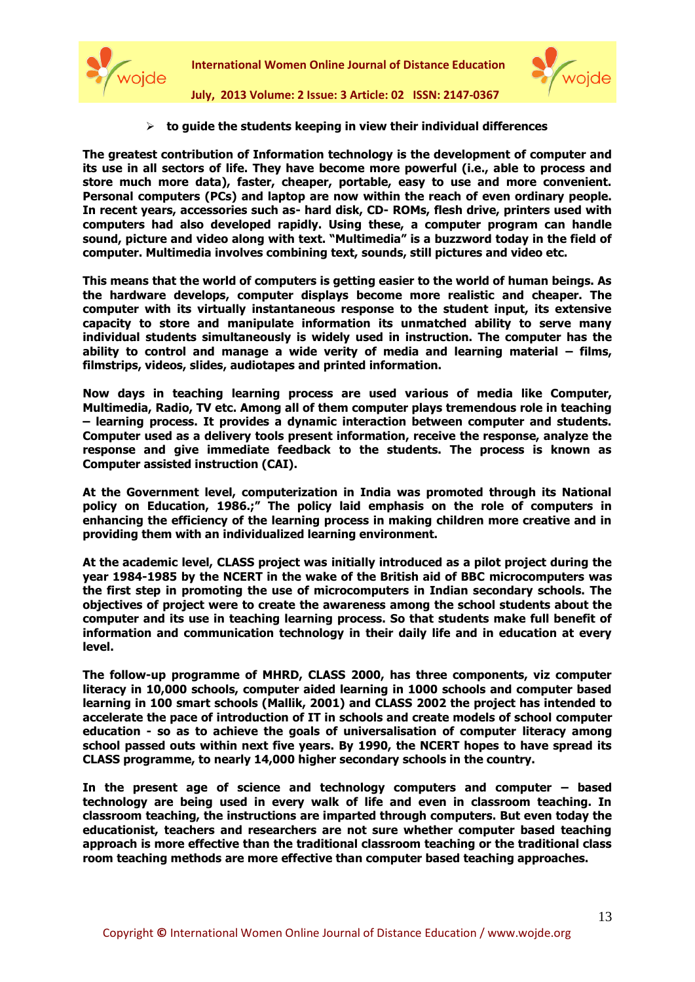



**July, 2013 Volume: 2 Issue: 3 Article: 02 ISSN: 2147-0367**

**to guide the students keeping in view their individual differences**

**The greatest contribution of Information technology is the development of computer and its use in all sectors of life. They have become more powerful (i.e., able to process and store much more data), faster, cheaper, portable, easy to use and more convenient. Personal computers (PCs) and laptop are now within the reach of even ordinary people. In recent years, accessories such as- hard disk, CD- ROMs, flesh drive, printers used with computers had also developed rapidly. Using these, a computer program can handle sound, picture and video along with text. "Multimedia" is a buzzword today in the field of computer. Multimedia involves combining text, sounds, still pictures and video etc.** 

**This means that the world of computers is getting easier to the world of human beings. As the hardware develops, computer displays become more realistic and cheaper. The computer with its virtually instantaneous response to the student input, its extensive capacity to store and manipulate information its unmatched ability to serve many individual students simultaneously is widely used in instruction. The computer has the ability to control and manage a wide verity of media and learning material – films, filmstrips, videos, slides, audiotapes and printed information.**

**Now days in teaching learning process are used various of media like Computer, Multimedia, Radio, TV etc. Among all of them computer plays tremendous role in teaching – learning process. It provides a dynamic interaction between computer and students. Computer used as a delivery tools present information, receive the response, analyze the response and give immediate feedback to the students. The process is known as Computer assisted instruction (CAI).**

**At the Government level, computerization in India was promoted through its National policy on Education, 1986.;" The policy laid emphasis on the role of computers in enhancing the efficiency of the learning process in making children more creative and in providing them with an individualized learning environment.**

**At the academic level, CLASS project was initially introduced as a pilot project during the year 1984-1985 by the NCERT in the wake of the British aid of BBC microcomputers was the first step in promoting the use of microcomputers in Indian secondary schools. The objectives of project were to create the awareness among the school students about the computer and its use in teaching learning process. So that students make full benefit of information and communication technology in their daily life and in education at every level.**

**The follow-up programme of MHRD, CLASS 2000, has three components, viz computer literacy in 10,000 schools, computer aided learning in 1000 schools and computer based learning in 100 smart schools (Mallik, 2001) and CLASS 2002 the project has intended to accelerate the pace of introduction of IT in schools and create models of school computer education - so as to achieve the goals of universalisation of computer literacy among school passed outs within next five years. By 1990, the NCERT hopes to have spread its CLASS programme, to nearly 14,000 higher secondary schools in the country.**

**In the present age of science and technology computers and computer – based technology are being used in every walk of life and even in classroom teaching. In classroom teaching, the instructions are imparted through computers. But even today the educationist, teachers and researchers are not sure whether computer based teaching approach is more effective than the traditional classroom teaching or the traditional class room teaching methods are more effective than computer based teaching approaches.**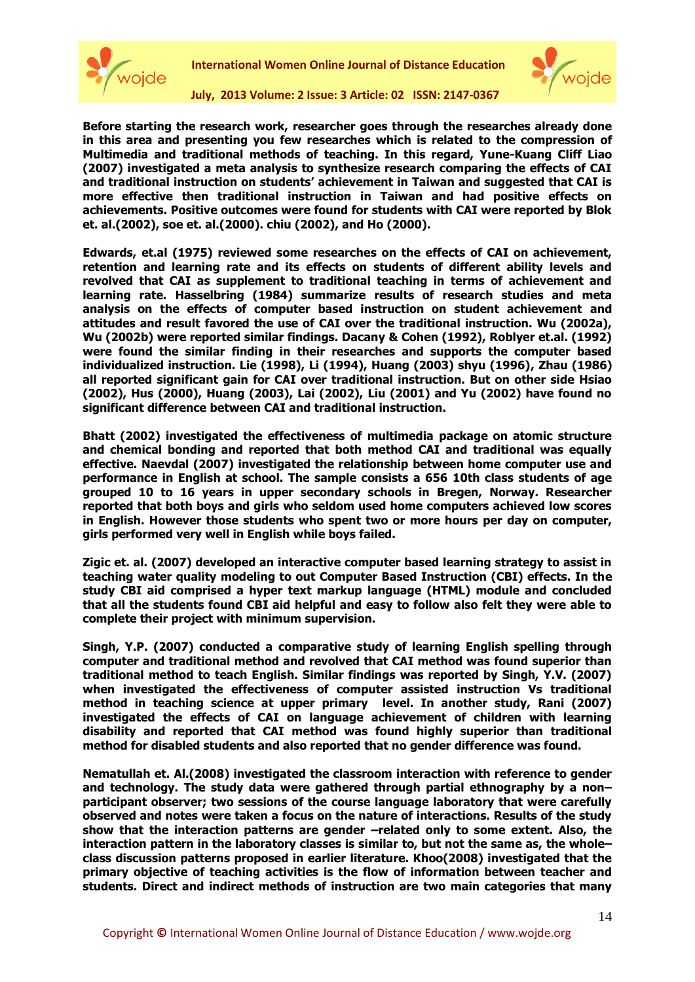



**July, 2013 Volume: 2 Issue: 3 Article: 02 ISSN: 2147-0367**

**Before starting the research work, researcher goes through the researches already done in this area and presenting you few researches which is related to the compression of Multimedia and traditional methods of teaching. In this regard, Yune-Kuang Cliff Liao (2007) investigated a meta analysis to synthesize research comparing the effects of CAI and traditional instruction on students' achievement in Taiwan and suggested that CAI is more effective then traditional instruction in Taiwan and had positive effects on achievements. Positive outcomes were found for students with CAI were reported by Blok et. al.(2002), soe et. al.(2000). chiu (2002), and Ho (2000).**

**Edwards, et.al (1975) reviewed some researches on the effects of CAI on achievement, retention and learning rate and its effects on students of different ability levels and revolved that CAI as supplement to traditional teaching in terms of achievement and learning rate. Hasselbring (1984) summarize results of research studies and meta analysis on the effects of computer based instruction on student achievement and attitudes and result favored the use of CAI over the traditional instruction. Wu (2002a), Wu (2002b) were reported similar findings. Dacany & Cohen (1992), Roblyer et.al. (1992) were found the similar finding in their researches and supports the computer based individualized instruction. Lie (1998), Li (1994), Huang (2003) shyu (1996), Zhau (1986) all reported significant gain for CAI over traditional instruction. But on other side Hsiao (2002), Hus (2000), Huang (2003), Lai (2002), Liu (2001) and Yu (2002) have found no significant difference between CAI and traditional instruction.**

**Bhatt (2002) investigated the effectiveness of multimedia package on atomic structure and chemical bonding and reported that both method CAI and traditional was equally effective. Naevdal (2007) investigated the relationship between home computer use and performance in English at school. The sample consists a 656 10th class students of age grouped 10 to 16 years in upper secondary schools in Bregen, Norway. Researcher reported that both boys and girls who seldom used home computers achieved low scores in English. However those students who spent two or more hours per day on computer, girls performed very well in English while boys failed.**

**Zigic et. al. (2007) developed an interactive computer based learning strategy to assist in teaching water quality modeling to out Computer Based Instruction (CBI) effects. In the study CBI aid comprised a hyper text markup language (HTML) module and concluded that all the students found CBI aid helpful and easy to follow also felt they were able to complete their project with minimum supervision.** 

**Singh, Y.P. (2007) conducted a comparative study of learning English spelling through computer and traditional method and revolved that CAI method was found superior than traditional method to teach English. Similar findings was reported by Singh, Y.V. (2007) when investigated the effectiveness of computer assisted instruction Vs traditional method in teaching science at upper primary level. In another study, Rani (2007) investigated the effects of CAI on language achievement of children with learning disability and reported that CAI method was found highly superior than traditional method for disabled students and also reported that no gender difference was found.** 

**Nematullah et. Al.(2008) investigated the classroom interaction with reference to gender and technology. The study data were gathered through partial ethnography by a non– participant observer; two sessions of the course language laboratory that were carefully observed and notes were taken a focus on the nature of interactions. Results of the study show that the interaction patterns are gender –related only to some extent. Also, the interaction pattern in the laboratory classes is similar to, but not the same as, the whole– class discussion patterns proposed in earlier literature. Khoo(2008) investigated that the primary objective of teaching activities is the flow of information between teacher and students. Direct and indirect methods of instruction are two main categories that many**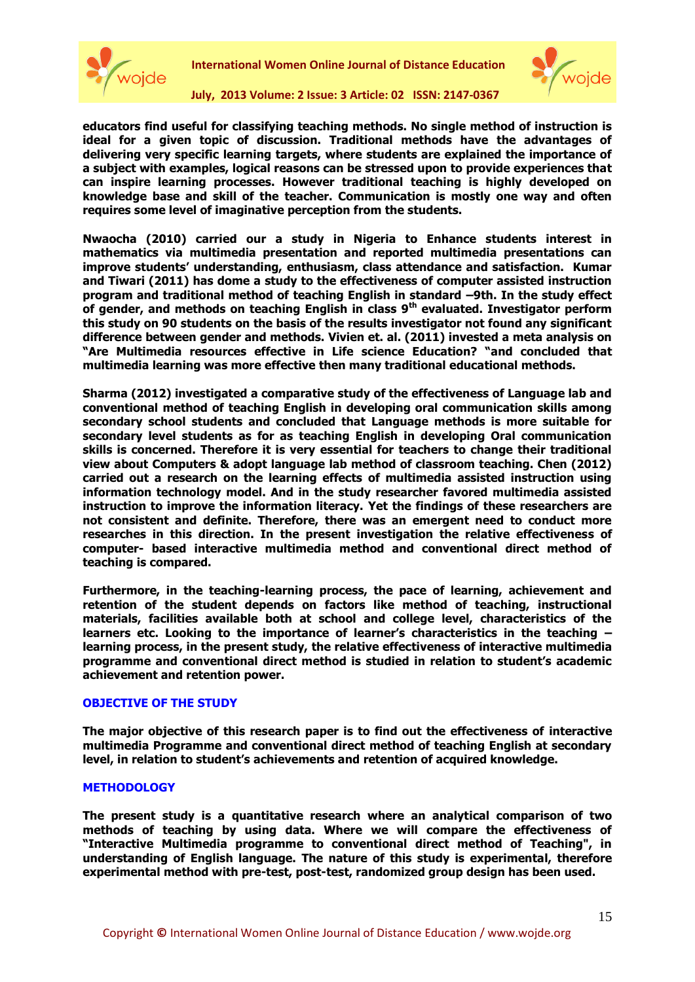



**July, 2013 Volume: 2 Issue: 3 Article: 02 ISSN: 2147-0367**

**educators find useful for classifying teaching methods. No single method of instruction is ideal for a given topic of discussion. Traditional methods have the advantages of delivering very specific learning targets, where students are explained the importance of a subject with examples, logical reasons can be stressed upon to provide experiences that can inspire learning processes. However traditional teaching is highly developed on knowledge base and skill of the teacher. Communication is mostly one way and often requires some level of imaginative perception from the students.** 

**Nwaocha (2010) carried our a study in Nigeria to Enhance students interest in mathematics via multimedia presentation and reported multimedia presentations can improve students' understanding, enthusiasm, class attendance and satisfaction. Kumar and Tiwari (2011) has dome a study to the effectiveness of computer assisted instruction program and traditional method of teaching English in standard –9th. In the study effect of gender, and methods on teaching English in class 9th evaluated. Investigator perform this study on 90 students on the basis of the results investigator not found any significant difference between gender and methods. Vivien et. al. (2011) invested a meta analysis on "Are Multimedia resources effective in Life science Education? "and concluded that multimedia learning was more effective then many traditional educational methods.**

**Sharma (2012) investigated a comparative study of the effectiveness of Language lab and conventional method of teaching English in developing oral communication skills among secondary school students and concluded that Language methods is more suitable for secondary level students as for as teaching English in developing Oral communication skills is concerned. Therefore it is very essential for teachers to change their traditional view about Computers & adopt language lab method of classroom teaching. Chen (2012) carried out a research on the learning effects of multimedia assisted instruction using information technology model. And in the study researcher favored multimedia assisted instruction to improve the information literacy. Yet the findings of these researchers are not consistent and definite. Therefore, there was an emergent need to conduct more researches in this direction. In the present investigation the relative effectiveness of computer- based interactive multimedia method and conventional direct method of teaching is compared.**

**Furthermore, in the teaching-learning process, the pace of learning, achievement and retention of the student depends on factors like method of teaching, instructional materials, facilities available both at school and college level, characteristics of the learners etc. Looking to the importance of learner's characteristics in the teaching – learning process, in the present study, the relative effectiveness of interactive multimedia programme and conventional direct method is studied in relation to student's academic achievement and retention power.**

## **OBJECTIVE OF THE STUDY**

**The major objective of this research paper is to find out the effectiveness of interactive multimedia Programme and conventional direct method of teaching English at secondary level, in relation to student's achievements and retention of acquired knowledge.** 

## **METHODOLOGY**

**The present study is a quantitative research where an analytical comparison of two methods of teaching by using data. Where we will compare the effectiveness of "Interactive Multimedia programme to conventional direct method of Teaching", in understanding of English language. The nature of this study is experimental, therefore experimental method with pre-test, post-test, randomized group design has been used.**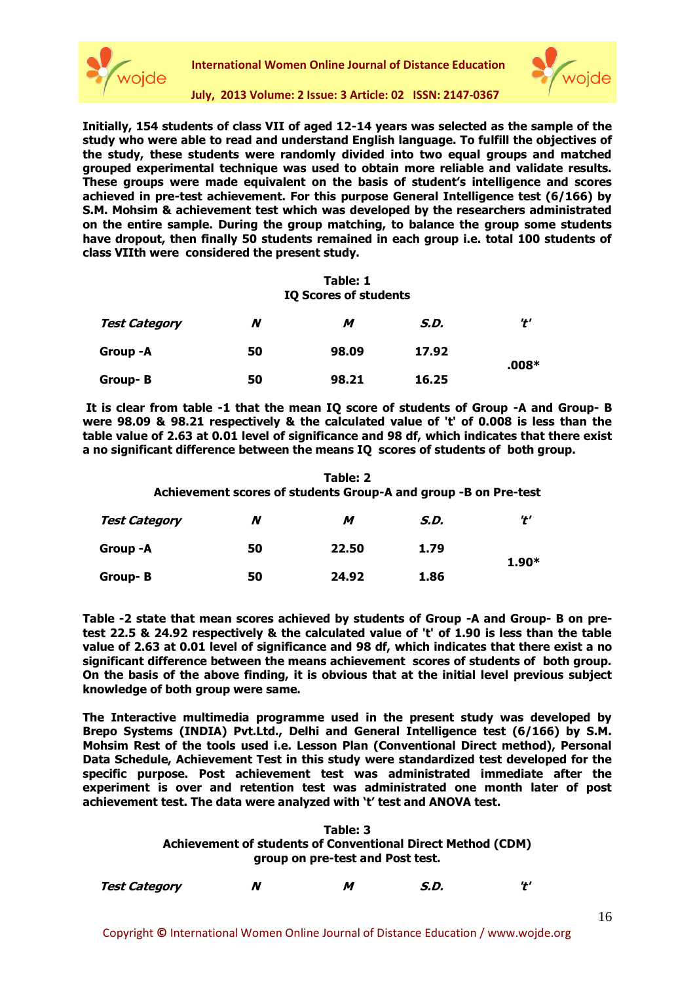



# **July, 2013 Volume: 2 Issue: 3 Article: 02 ISSN: 2147-0367**

**Initially, 154 students of class VII of aged 12-14 years was selected as the sample of the study who were able to read and understand English language. To fulfill the objectives of the study, these students were randomly divided into two equal groups and matched grouped experimental technique was used to obtain more reliable and validate results. These groups were made equivalent on the basis of student's intelligence and scores achieved in pre-test achievement. For this purpose General Intelligence test (6/166) by S.M. Mohsim & achievement test which was developed by the researchers administrated on the entire sample. During the group matching, to balance the group some students have dropout, then finally 50 students remained in each group i.e. total 100 students of class VIIth were considered the present study.**

## **Table: 1 IQ Scores of students**

| <b>Test Category</b> | N  | м     | S.D.  | '†'     |  |
|----------------------|----|-------|-------|---------|--|
| Group -A             | 50 | 98.09 | 17.92 |         |  |
| Group-B              | 50 | 98.21 | 16.25 | $.008*$ |  |

**It is clear from table -1 that the mean IQ score of students of Group -A and Group- B were 98.09 & 98.21 respectively & the calculated value of 't' of 0.008 is less than the table value of 2.63 at 0.01 level of significance and 98 df, which indicates that there exist a no significant difference between the means IQ scores of students of both group.** 

| Table: 2<br>Achievement scores of students Group-A and group -B on Pre-test |    |       |      |         |  |
|-----------------------------------------------------------------------------|----|-------|------|---------|--|
| <b>Test Category</b>                                                        | N  | м     | S.D. | 't'     |  |
| Group -A                                                                    | 50 | 22.50 | 1.79 |         |  |
| Group-B                                                                     | 50 | 24.92 | 1.86 | $1.90*$ |  |

**Table -2 state that mean scores achieved by students of Group -A and Group- B on pretest 22.5 & 24.92 respectively & the calculated value of 't' of 1.90 is less than the table value of 2.63 at 0.01 level of significance and 98 df, which indicates that there exist a no significant difference between the means achievement scores of students of both group. On the basis of the above finding, it is obvious that at the initial level previous subject knowledge of both group were same.**

**The Interactive multimedia programme used in the present study was developed by Brepo Systems (INDIA) Pvt.Ltd., Delhi and General Intelligence test (6/166) by S.M. Mohsim Rest of the tools used i.e. Lesson Plan (Conventional Direct method), Personal Data Schedule, Achievement Test in this study were standardized test developed for the specific purpose. Post achievement test was administrated immediate after the experiment is over and retention test was administrated one month later of post achievement test. The data were analyzed with 't' test and ANOVA test.**

| Table: 3                                                           |
|--------------------------------------------------------------------|
| <b>Achievement of students of Conventional Direct Method (CDM)</b> |
| group on pre-test and Post test.                                   |

| Test Category |  |  | S.D. |  |
|---------------|--|--|------|--|
|---------------|--|--|------|--|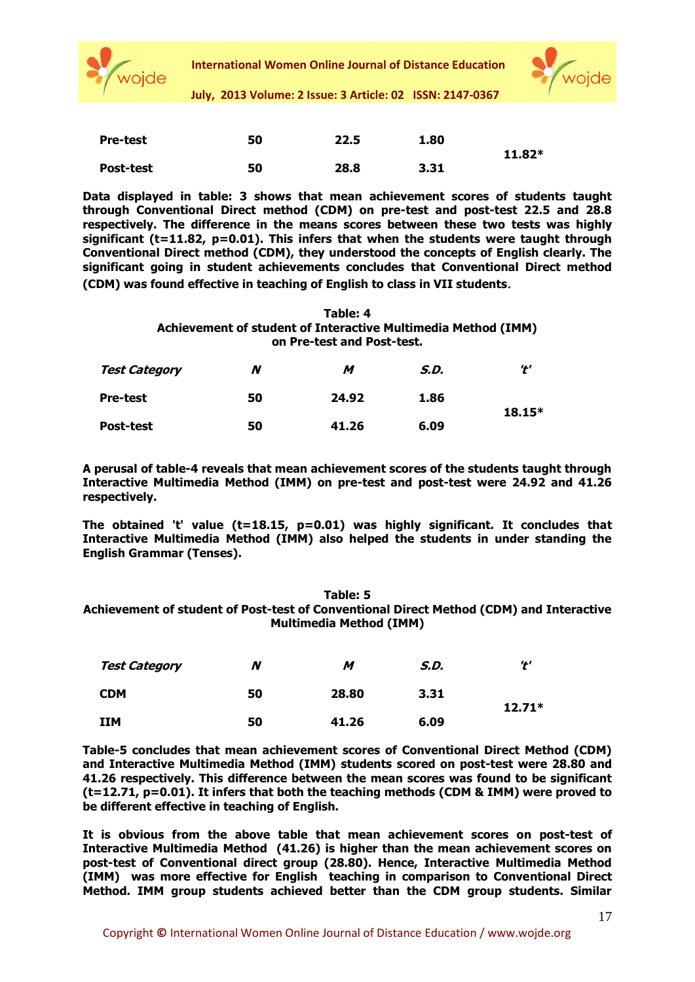



**July, 2013 Volume: 2 Issue: 3 Article: 02 ISSN: 2147-0367**

| <b>Pre-test</b>  | 50 | 22.5 | 1.80 |          |
|------------------|----|------|------|----------|
|                  |    |      |      | $11.82*$ |
| <b>Post-test</b> | 50 | 28.8 | 3.31 |          |

**Data displayed in table: 3 shows that mean achievement scores of students taught through Conventional Direct method (CDM) on pre-test and post-test 22.5 and 28.8 respectively. The difference in the means scores between these two tests was highly significant (t=11.82, p=0.01). This infers that when the students were taught through Conventional Direct method (CDM), they understood the concepts of English clearly. The significant going in student achievements concludes that Conventional Direct method (CDM) was found effective in teaching of English to class in VII students**.

#### **Table: 4 Achievement of student of Interactive Multimedia Method (IMM) on Pre-test and Post-test.**

| <b>Test Category</b> | N  | м     | S.D. | י+י      |  |
|----------------------|----|-------|------|----------|--|
| <b>Pre-test</b>      | 50 | 24.92 | 1.86 |          |  |
| <b>Post-test</b>     | 50 | 41.26 | 6.09 | $18.15*$ |  |

**A perusal of table-4 reveals that mean achievement scores of the students taught through Interactive Multimedia Method (IMM) on pre-test and post-test were 24.92 and 41.26 respectively.** 

**The obtained 't' value (t=18.15, p=0.01) was highly significant. It concludes that Interactive Multimedia Method (IMM) also helped the students in under standing the English Grammar (Tenses).**

# **Table: 5 Achievement of student of Post-test of Conventional Direct Method (CDM) and Interactive Multimedia Method (IMM)**

| <b>Test Category</b> | N  | м     | S.D. | י+י      |
|----------------------|----|-------|------|----------|
| <b>CDM</b>           | 50 | 28.80 | 3.31 | $12.71*$ |
| <b>IIM</b>           | 50 | 41.26 | 6.09 |          |

**Table-5 concludes that mean achievement scores of Conventional Direct Method (CDM) and Interactive Multimedia Method (IMM) students scored on post-test were 28.80 and 41.26 respectively. This difference between the mean scores was found to be significant (t=12.71, p=0.01). It infers that both the teaching methods (CDM & IMM) were proved to be different effective in teaching of English.** 

**It is obvious from the above table that mean achievement scores on post-test of Interactive Multimedia Method (41.26) is higher than the mean achievement scores on post-test of Conventional direct group (28.80). Hence, Interactive Multimedia Method (IMM) was more effective for English teaching in comparison to Conventional Direct Method. IMM group students achieved better than the CDM group students. Similar**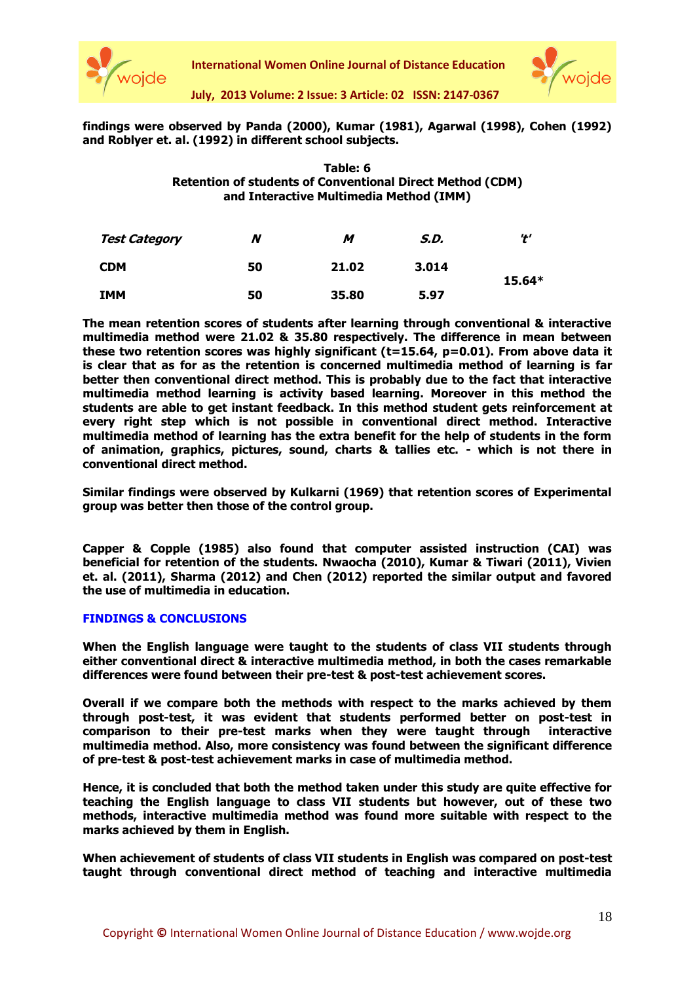



**July, 2013 Volume: 2 Issue: 3 Article: 02 ISSN: 2147-0367**

# **findings were observed by Panda (2000), Kumar (1981), Agarwal (1998), Cohen (1992) and Roblyer et. al. (1992) in different school subjects.**

# **Table: 6 Retention of students of Conventional Direct Method (CDM) and Interactive Multimedia Method (IMM)**

| <b>Test Category</b> | N  | M     | S.D.  | י+י      |
|----------------------|----|-------|-------|----------|
| <b>CDM</b>           | 50 | 21.02 | 3.014 | $15.64*$ |
| <b>IMM</b>           | 50 | 35.80 | 5.97  |          |

**The mean retention scores of students after learning through conventional & interactive multimedia method were 21.02 & 35.80 respectively. The difference in mean between these two retention scores was highly significant (t=15.64, p=0.01). From above data it is clear that as for as the retention is concerned multimedia method of learning is far better then conventional direct method. This is probably due to the fact that interactive multimedia method learning is activity based learning. Moreover in this method the students are able to get instant feedback. In this method student gets reinforcement at every right step which is not possible in conventional direct method. Interactive multimedia method of learning has the extra benefit for the help of students in the form of animation, graphics, pictures, sound, charts & tallies etc. - which is not there in conventional direct method.**

**Similar findings were observed by Kulkarni (1969) that retention scores of Experimental group was better then those of the control group.** 

**Capper & Copple (1985) also found that computer assisted instruction (CAI) was beneficial for retention of the students. Nwaocha (2010), Kumar & Tiwari (2011), Vivien et. al. (2011), Sharma (2012) and Chen (2012) reported the similar output and favored the use of multimedia in education.** 

# **FINDINGS & CONCLUSIONS**

**When the English language were taught to the students of class VII students through either conventional direct & interactive multimedia method, in both the cases remarkable differences were found between their pre-test & post-test achievement scores.**

**Overall if we compare both the methods with respect to the marks achieved by them through post-test, it was evident that students performed better on post-test in comparison to their pre-test marks when they were taught through interactive multimedia method. Also, more consistency was found between the significant difference of pre-test & post-test achievement marks in case of multimedia method.**

**Hence, it is concluded that both the method taken under this study are quite effective for teaching the English language to class VII students but however, out of these two methods, interactive multimedia method was found more suitable with respect to the marks achieved by them in English.**

**When achievement of students of class VII students in English was compared on post-test taught through conventional direct method of teaching and interactive multimedia**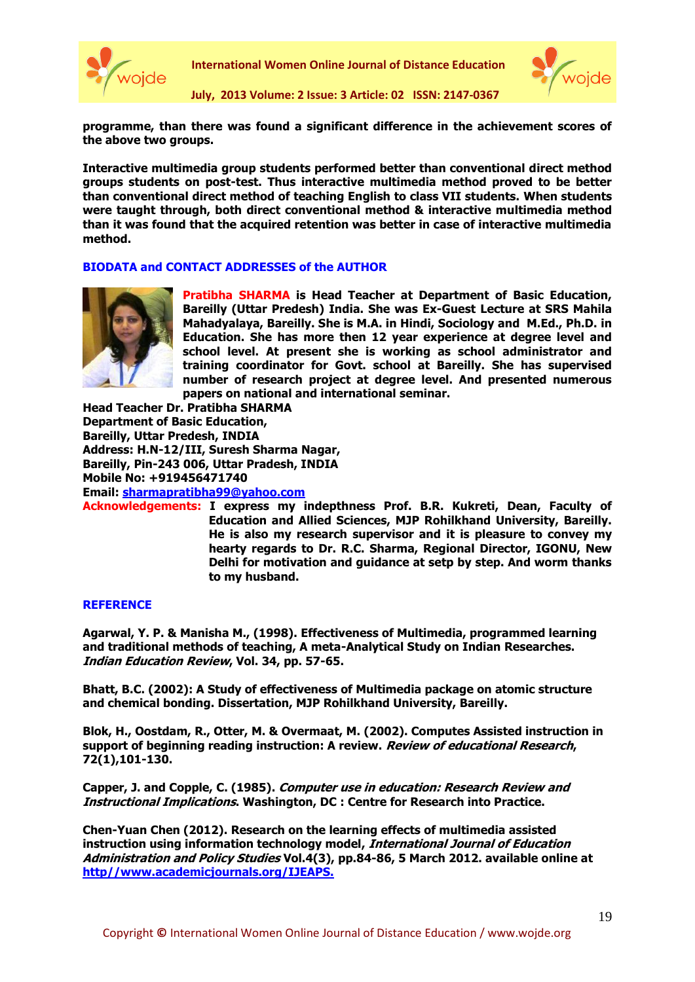



**July, 2013 Volume: 2 Issue: 3 Article: 02 ISSN: 2147-0367**

**programme, than there was found a significant difference in the achievement scores of the above two groups.** 

**Interactive multimedia group students performed better than conventional direct method groups students on post-test. Thus interactive multimedia method proved to be better than conventional direct method of teaching English to class VII students. When students were taught through, both direct conventional method & interactive multimedia method than it was found that the acquired retention was better in case of interactive multimedia method.**

# **BIODATA and CONTACT ADDRESSES of the AUTHOR**



**Pratibha SHARMA is Head Teacher at Department of Basic Education, Bareilly (Uttar Predesh) India. She was Ex-Guest Lecture at SRS Mahila Mahadyalaya, Bareilly. She is M.A. in Hindi, Sociology and M.Ed., Ph.D. in Education. She has more then 12 year experience at degree level and school level. At present she is working as school administrator and training coordinator for Govt. school at Bareilly. She has supervised number of research project at degree level. And presented numerous papers on national and international seminar.**

**Head Teacher Dr. Pratibha SHARMA Department of Basic Education, Bareilly, Uttar Predesh, INDIA Address: H.N-12/III, Suresh Sharma Nagar, Bareilly, Pin-243 006, Uttar Pradesh, INDIA Mobile No: +919456471740 Email: [sharmapratibha99@yahoo.com](mailto:sharmapratibha99@yahoo.com)**

**Acknowledgements: I express my indepthness Prof. B.R. Kukreti, Dean, Faculty of Education and Allied Sciences, MJP Rohilkhand University, Bareilly. He is also my research supervisor and it is pleasure to convey my hearty regards to Dr. R.C. Sharma, Regional Director, IGONU, New Delhi for motivation and guidance at setp by step. And worm thanks to my husband.** 

## **REFERENCE**

**Agarwal, Y. P. & Manisha M., (1998). Effectiveness of Multimedia, programmed learning and traditional methods of teaching, A meta-Analytical Study on Indian Researches. Indian Education Review, Vol. 34, pp. 57-65.**

**Bhatt, B.C. (2002): A Study of effectiveness of Multimedia package on atomic structure and chemical bonding. Dissertation, MJP Rohilkhand University, Bareilly.**

**Blok, H., Oostdam, R., Otter, M. & Overmaat, M. (2002). Computes Assisted instruction in support of beginning reading instruction: A review. Review of educational Research, 72(1),101-130.**

**Capper, J. and Copple, C. (1985). Computer use in education: Research Review and Instructional Implications. Washington, DC : Centre for Research into Practice.**

**Chen-Yuan Chen (2012). Research on the learning effects of multimedia assisted instruction using information technology model, International Journal of Education Administration and Policy Studies Vol.4(3), pp.84-86, 5 March 2012. available online at http//www.academicjournals.org/IJEAPS.**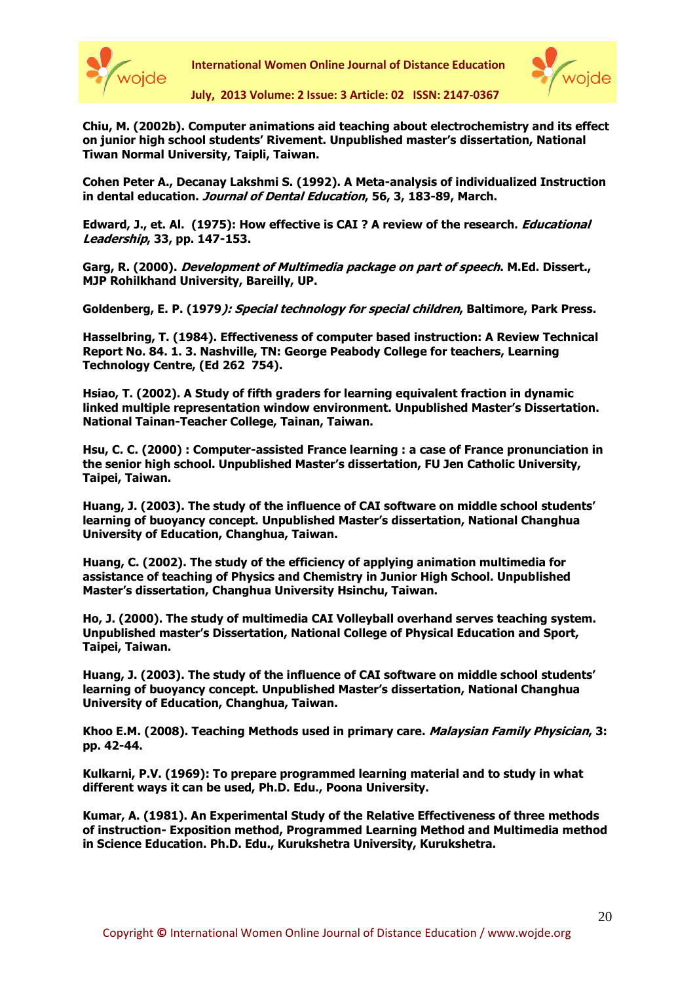



**July, 2013 Volume: 2 Issue: 3 Article: 02 ISSN: 2147-0367**

**Chiu, M. (2002b). Computer animations aid teaching about electrochemistry and its effect on junior high school students' Rivement. Unpublished master's dissertation, National Tiwan Normal University, Taipli, Taiwan.**

**Cohen Peter A., Decanay Lakshmi S. (1992). A Meta-analysis of individualized Instruction in dental education. Journal of Dental Education, 56, 3, 183-89, March.**

**Edward, J., et. Al. (1975): How effective is CAI ? A review of the research. Educational Leadership, 33, pp. 147-153.**

**Garg, R. (2000). Development of Multimedia package on part of speech. M.Ed. Dissert., MJP Rohilkhand University, Bareilly, UP.**

**Goldenberg, E. P. (1979): Special technology for special children, Baltimore, Park Press.** 

**Hasselbring, T. (1984). Effectiveness of computer based instruction: A Review Technical Report No. 84. 1. 3. Nashville, TN: George Peabody College for teachers, Learning Technology Centre, (Ed 262 754).**

**Hsiao, T. (2002). A Study of fifth graders for learning equivalent fraction in dynamic linked multiple representation window environment. Unpublished Master's Dissertation. National Tainan-Teacher College, Tainan, Taiwan.**

**Hsu, C. C. (2000) : Computer-assisted France learning : a case of France pronunciation in the senior high school. Unpublished Master's dissertation, FU Jen Catholic University, Taipei, Taiwan.**

**Huang, J. (2003). The study of the influence of CAI software on middle school students' learning of buoyancy concept. Unpublished Master's dissertation, National Changhua University of Education, Changhua, Taiwan.**

**Huang, C. (2002). The study of the efficiency of applying animation multimedia for assistance of teaching of Physics and Chemistry in Junior High School. Unpublished Master's dissertation, Changhua University Hsinchu, Taiwan.**

**Ho, J. (2000). The study of multimedia CAI Volleyball overhand serves teaching system. Unpublished master's Dissertation, National College of Physical Education and Sport, Taipei, Taiwan.**

**Huang, J. (2003). The study of the influence of CAI software on middle school students' learning of buoyancy concept. Unpublished Master's dissertation, National Changhua University of Education, Changhua, Taiwan.**

**Khoo E.M. (2008). Teaching Methods used in primary care. Malaysian Family Physician, 3: pp. 42-44.**

**Kulkarni, P.V. (1969): To prepare programmed learning material and to study in what different ways it can be used, Ph.D. Edu., Poona University.**

**Kumar, A. (1981). An Experimental Study of the Relative Effectiveness of three methods of instruction- Exposition method, Programmed Learning Method and Multimedia method in Science Education. Ph.D. Edu., Kurukshetra University, Kurukshetra.**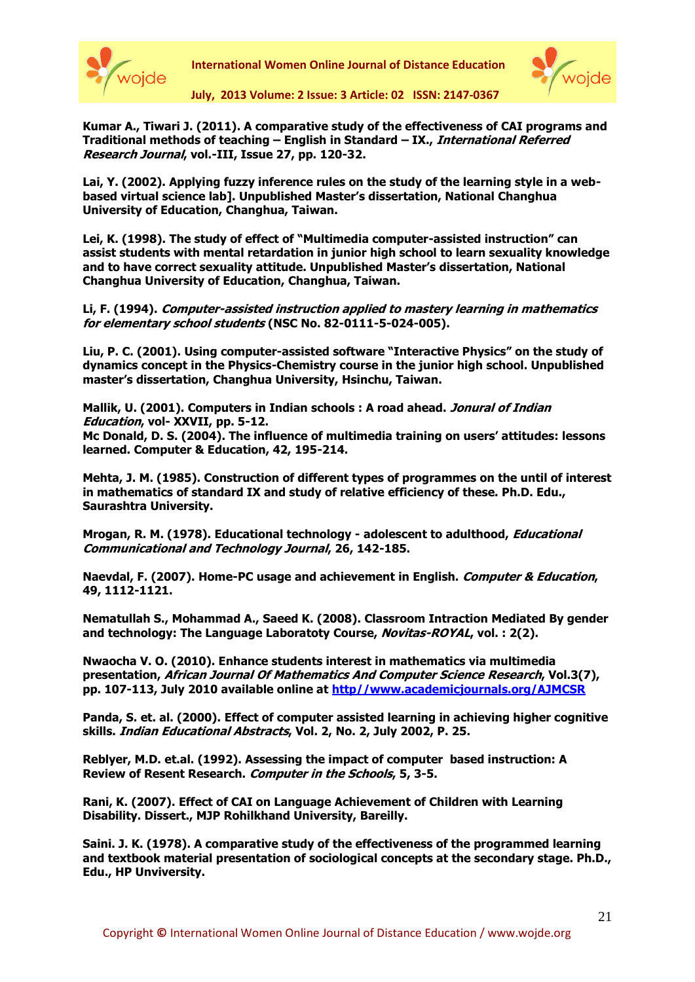



**July, 2013 Volume: 2 Issue: 3 Article: 02 ISSN: 2147-0367**

**Kumar A., Tiwari J. (2011). A comparative study of the effectiveness of CAI programs and Traditional methods of teaching – English in Standard – IX., International Referred Research Journal, vol.-III, Issue 27, pp. 120-32.**

**Lai, Y. (2002). Applying fuzzy inference rules on the study of the learning style in a webbased virtual science lab]. Unpublished Master's dissertation, National Changhua University of Education, Changhua, Taiwan.**

**Lei, K. (1998). The study of effect of "Multimedia computer-assisted instruction" can assist students with mental retardation in junior high school to learn sexuality knowledge and to have correct sexuality attitude. Unpublished Master's dissertation, National Changhua University of Education, Changhua, Taiwan.**

**Li, F. (1994). Computer-assisted instruction applied to mastery learning in mathematics for elementary school students (NSC No. 82-0111-5-024-005).**

**Liu, P. C. (2001). Using computer-assisted software "Interactive Physics" on the study of dynamics concept in the Physics-Chemistry course in the junior high school. Unpublished master's dissertation, Changhua University, Hsinchu, Taiwan.**

**Mallik, U. (2001). Computers in Indian schools : A road ahead. Jonural of Indian Education, vol- XXVII, pp. 5-12. Mc Donald, D. S. (2004). The influence of multimedia training on users' attitudes: lessons learned. Computer & Education, 42, 195-214.**

**Mehta, J. M. (1985). Construction of different types of programmes on the until of interest in mathematics of standard IX and study of relative efficiency of these. Ph.D. Edu., Saurashtra University.**

**Mrogan, R. M. (1978). Educational technology - adolescent to adulthood, Educational Communicational and Technology Journal, 26, 142-185.**

**Naevdal, F. (2007). Home-PC usage and achievement in English. Computer & Education, 49, 1112-1121.**

**Nematullah S., Mohammad A., Saeed K. (2008). Classroom Intraction Mediated By gender and technology: The Language Laboratoty Course, Novitas-ROYAL, vol. : 2(2).**

**Nwaocha V. O. (2010). Enhance students interest in mathematics via multimedia presentation, African Journal Of Mathematics And Computer Science Research, Vol.3(7), pp. 107-113, July 2010 available online at http//www.academicjournals.org/AJMCSR**

**Panda, S. et. al. (2000). Effect of computer assisted learning in achieving higher cognitive skills. Indian Educational Abstracts, Vol. 2, No. 2, July 2002, P. 25.**

**Reblyer, M.D. et.al. (1992). Assessing the impact of computer based instruction: A Review of Resent Research. Computer in the Schools, 5, 3-5.** 

**Rani, K. (2007). Effect of CAI on Language Achievement of Children with Learning Disability. Dissert., MJP Rohilkhand University, Bareilly.**

**Saini. J. K. (1978). A comparative study of the effectiveness of the programmed learning and textbook material presentation of sociological concepts at the secondary stage. Ph.D., Edu., HP Unviversity.**